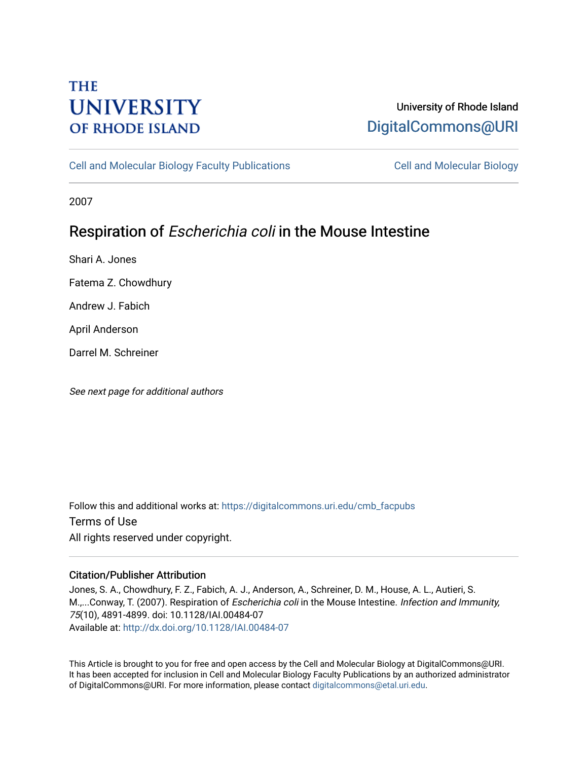# **THE UNIVERSITY OF RHODE ISLAND**

## University of Rhode Island [DigitalCommons@URI](https://digitalcommons.uri.edu/)

[Cell and Molecular Biology Faculty Publications](https://digitalcommons.uri.edu/cmb_facpubs) [Cell and Molecular Biology](https://digitalcommons.uri.edu/cmb) 

2007

## Respiration of Escherichia coli in the Mouse Intestine

Shari A. Jones

Fatema Z. Chowdhury

Andrew J. Fabich

April Anderson

Darrel M. Schreiner

See next page for additional authors

Follow this and additional works at: [https://digitalcommons.uri.edu/cmb\\_facpubs](https://digitalcommons.uri.edu/cmb_facpubs?utm_source=digitalcommons.uri.edu%2Fcmb_facpubs%2F40&utm_medium=PDF&utm_campaign=PDFCoverPages)  Terms of Use All rights reserved under copyright.

### Citation/Publisher Attribution

Jones, S. A., Chowdhury, F. Z., Fabich, A. J., Anderson, A., Schreiner, D. M., House, A. L., Autieri, S. M.,...Conway, T. (2007). Respiration of Escherichia coli in the Mouse Intestine. Infection and Immunity, 75(10), 4891-4899. doi: 10.1128/IAI.00484-07 Available at:<http://dx.doi.org/10.1128/IAI.00484-07>

This Article is brought to you for free and open access by the Cell and Molecular Biology at DigitalCommons@URI. It has been accepted for inclusion in Cell and Molecular Biology Faculty Publications by an authorized administrator of DigitalCommons@URI. For more information, please contact [digitalcommons@etal.uri.edu](mailto:digitalcommons@etal.uri.edu).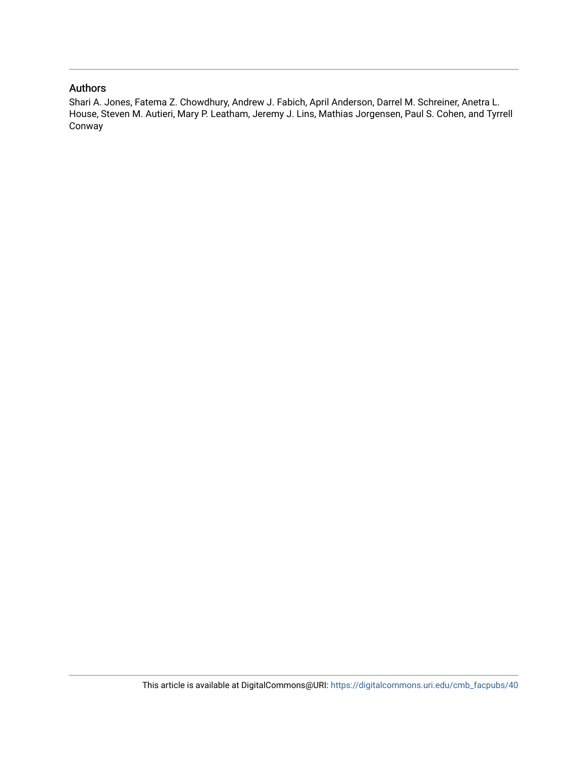### Authors

Shari A. Jones, Fatema Z. Chowdhury, Andrew J. Fabich, April Anderson, Darrel M. Schreiner, Anetra L. House, Steven M. Autieri, Mary P. Leatham, Jeremy J. Lins, Mathias Jorgensen, Paul S. Cohen, and Tyrrell Conway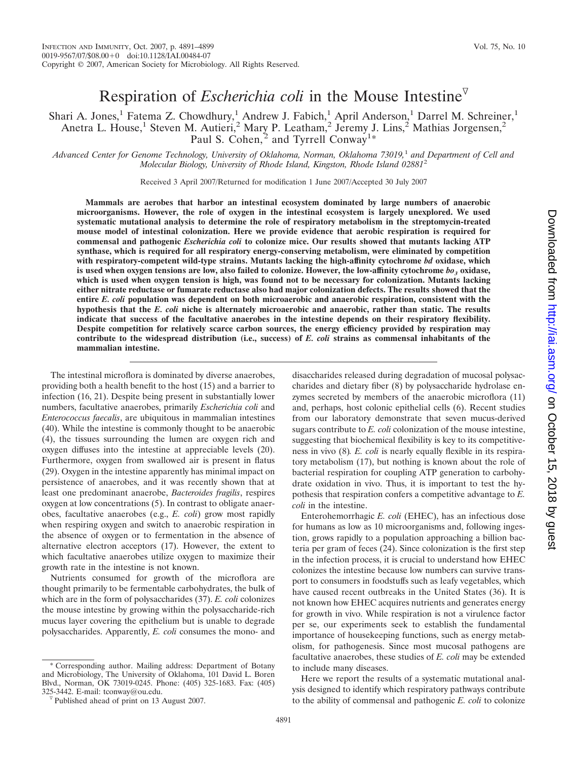### Respiration of *Escherichia coli* in the Mouse Intestine

Shari A. Jones,<sup>1</sup> Fatema Z. Chowdhury,<sup>1</sup> Andrew J. Fabich,<sup>1</sup> April Anderson,<sup>1</sup> Darrel M. Schreiner,<sup>1</sup> Anetra L. House,<sup>1</sup> Steven M. Autieri,<sup>2</sup> Mary P. Leatham,<sup>2</sup> Jeremy J. Lins,<sup>2</sup> Mathias Jorgensen,<sup>2</sup> Paul S. Cohen,<sup>2</sup> and Tyrrell Conway<sup>1\*</sup>

*Advanced Center for Genome Technology, University of Oklahoma, Norman, Oklahoma 73019,*<sup>1</sup> *and Department of Cell and Molecular Biology, University of Rhode Island, Kingston, Rhode Island 02881*<sup>2</sup>

Received 3 April 2007/Returned for modification 1 June 2007/Accepted 30 July 2007

**Mammals are aerobes that harbor an intestinal ecosystem dominated by large numbers of anaerobic microorganisms. However, the role of oxygen in the intestinal ecosystem is largely unexplored. We used systematic mutational analysis to determine the role of respiratory metabolism in the streptomycin-treated mouse model of intestinal colonization. Here we provide evidence that aerobic respiration is required for commensal and pathogenic** *Escherichia coli* **to colonize mice. Our results showed that mutants lacking ATP synthase, which is required for all respiratory energy-conserving metabolism, were eliminated by competition with respiratory-competent wild-type strains. Mutants lacking the high-affinity cytochrome** *bd* **oxidase, which is used when oxygen tensions are low, also failed to colonize. However, the low-affinity cytochrome**  $bo_3$  **oxidase, which is used when oxygen tension is high, was found not to be necessary for colonization. Mutants lacking either nitrate reductase or fumarate reductase also had major colonization defects. The results showed that the entire** *E. coli* **population was dependent on both microaerobic and anaerobic respiration, consistent with the hypothesis that the** *E. coli* **niche is alternately microaerobic and anaerobic, rather than static. The results indicate that success of the facultative anaerobes in the intestine depends on their respiratory flexibility. Despite competition for relatively scarce carbon sources, the energy efficiency provided by respiration may contribute to the widespread distribution (i.e., success) of** *E. coli* **strains as commensal inhabitants of the mammalian intestine.**

The intestinal microflora is dominated by diverse anaerobes, providing both a health benefit to the host (15) and a barrier to infection (16, 21). Despite being present in substantially lower numbers, facultative anaerobes, primarily *Escherichia coli* and *Enterococcus faecalis*, are ubiquitous in mammalian intestines (40). While the intestine is commonly thought to be anaerobic (4), the tissues surrounding the lumen are oxygen rich and oxygen diffuses into the intestine at appreciable levels (20). Furthermore, oxygen from swallowed air is present in flatus (29). Oxygen in the intestine apparently has minimal impact on persistence of anaerobes, and it was recently shown that at least one predominant anaerobe, *Bacteroides fragilis*, respires oxygen at low concentrations (5). In contrast to obligate anaerobes, facultative anaerobes (e.g., *E. coli*) grow most rapidly when respiring oxygen and switch to anaerobic respiration in the absence of oxygen or to fermentation in the absence of alternative electron acceptors (17). However, the extent to which facultative anaerobes utilize oxygen to maximize their growth rate in the intestine is not known.

Nutrients consumed for growth of the microflora are thought primarily to be fermentable carbohydrates, the bulk of which are in the form of polysaccharides (37). *E. coli* colonizes the mouse intestine by growing within the polysaccharide-rich mucus layer covering the epithelium but is unable to degrade polysaccharides. Apparently, *E. coli* consumes the mono- and

\* Corresponding author. Mailing address: Department of Botany and Microbiology, The University of Oklahoma, 101 David L. Boren Blvd., Norman, OK 73019-0245. Phone: (405) 325-1683. Fax: (405)

disaccharides released during degradation of mucosal polysaccharides and dietary fiber (8) by polysaccharide hydrolase enzymes secreted by members of the anaerobic microflora (11) and, perhaps, host colonic epithelial cells (6). Recent studies from our laboratory demonstrate that seven mucus-derived sugars contribute to *E. coli* colonization of the mouse intestine, suggesting that biochemical flexibility is key to its competitiveness in vivo (8)*. E. coli* is nearly equally flexible in its respiratory metabolism (17), but nothing is known about the role of bacterial respiration for coupling ATP generation to carbohydrate oxidation in vivo. Thus, it is important to test the hypothesis that respiration confers a competitive advantage to *E. coli* in the intestine.

Enterohemorrhagic *E. coli* (EHEC), has an infectious dose for humans as low as 10 microorganisms and, following ingestion, grows rapidly to a population approaching a billion bacteria per gram of feces (24). Since colonization is the first step in the infection process, it is crucial to understand how EHEC colonizes the intestine because low numbers can survive transport to consumers in foodstuffs such as leafy vegetables, which have caused recent outbreaks in the United States (36). It is not known how EHEC acquires nutrients and generates energy for growth in vivo. While respiration is not a virulence factor per se, our experiments seek to establish the fundamental importance of housekeeping functions, such as energy metabolism, for pathogenesis. Since most mucosal pathogens are facultative anaerobes, these studies of *E. coli* may be extended to include many diseases.

Here we report the results of a systematic mutational analysis designed to identify which respiratory pathways contribute to the ability of commensal and pathogenic *E. coli* to colonize

<sup>&</sup>lt;sup> $\triangledown$ </sup> Published ahead of print on 13 August 2007.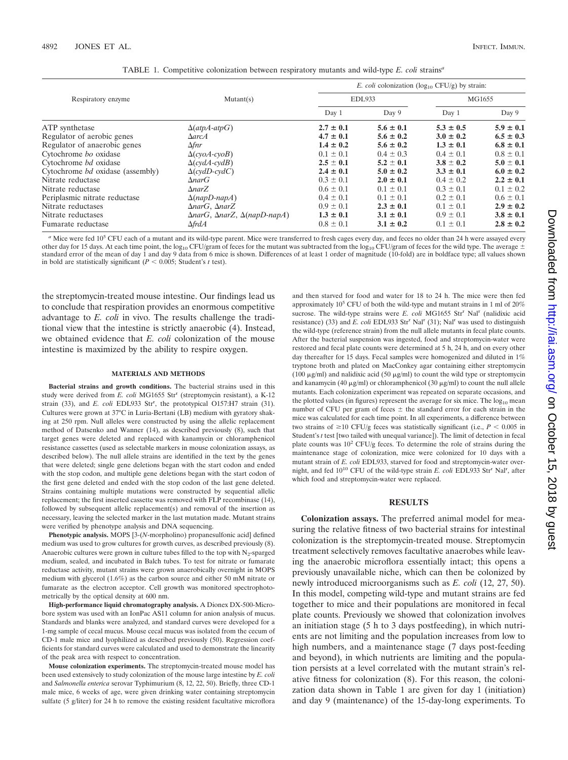| Respiratory enzyme                      | Mutant(s)                                          | <i>E. coli</i> colonization ( $log_{10}$ CFU/g) by strain: |               |               |               |
|-----------------------------------------|----------------------------------------------------|------------------------------------------------------------|---------------|---------------|---------------|
|                                         |                                                    | <b>EDL933</b>                                              |               | MG1655        |               |
|                                         |                                                    | Day 1                                                      | Day 9         | Day 1         | Day 9         |
| ATP synthetase                          | $\Delta(atpA-atpG)$                                | $2.7 \pm 0.1$                                              | $5.6 \pm 0.1$ | $5.3 \pm 0.5$ | $5.9 \pm 0.1$ |
| Regulator of aerobic genes              | $\Delta arcA$                                      | $4.7 \pm 0.1$                                              | $5.6 \pm 0.2$ | $3.0 \pm 0.2$ | $6.5 \pm 0.3$ |
| Regulator of anaerobic genes            | ∆fnr                                               | $1.4 \pm 0.2$                                              | $5.6 \pm 0.2$ | $1.3 \pm 0.1$ | $6.8 \pm 0.1$ |
| Cytochrome bo oxidase                   | $\Delta$ (cyoA-cyoB)                               | $0.1 \pm 0.1$                                              | $0.4 \pm 0.3$ | $0.4 \pm 0.1$ | $0.8 \pm 0.1$ |
| Cytochrome bd oxidase                   | $\Delta(c \, dA \text{-} c \, dB)$                 | $2.5 \pm 0.1$                                              | $5.2 \pm 0.1$ | $3.8 \pm 0.2$ | $5.0 \pm 0.1$ |
| Cytochrome <i>bd</i> oxidase (assembly) | $\Delta(c \vee dD-c \vee dC)$                      | $2.4 \pm 0.1$                                              | $5.0 \pm 0.2$ | $3.3 \pm 0.1$ | $6.0 \pm 0.2$ |
| Nitrate reductase                       | $\Delta$ nar $G$                                   | $0.3 \pm 0.1$                                              | $2.0 \pm 0.1$ | $0.4 \pm 0.2$ | $2.2 \pm 0.1$ |
| Nitrate reductase                       | $\Delta$ nar $Z$                                   | $0.6 \pm 0.1$                                              | $0.1 \pm 0.1$ | $0.3 \pm 0.1$ | $0.1 \pm 0.2$ |
| Periplasmic nitrate reductase           | $\Delta$ (napD-napA)                               | $0.4 \pm 0.1$                                              | $0.1 \pm 0.1$ | $0.2 \pm 0.1$ | $0.6 \pm 0.1$ |
| Nitrate reductases                      | $\Delta$ nar $G$ , $\Delta$ nar $Z$                | $0.9 \pm 0.1$                                              | $2.3 \pm 0.1$ | $0.1 \pm 0.1$ | $2.9 \pm 0.2$ |
| Nitrate reductases                      | $\Delta$ narG, $\Delta$ narZ, $\Delta$ (napD-napA) | $1.3 \pm 0.1$                                              | $3.1 \pm 0.1$ | $0.9 \pm 0.1$ | $3.8 \pm 0.1$ |
| Fumarate reductase                      | $\Delta f r dA$                                    | $0.8 \pm 0.1$                                              | $3.1 \pm 0.2$ | $0.1 \pm 0.1$ | $2.8 \pm 0.2$ |

TABLE 1. Competitive colonization between respiratory mutants and wild-type *E. coli* strains*<sup>a</sup>*

<sup>a</sup> Mice were fed 10<sup>5</sup> CFU each of a mutant and its wild-type parent. Mice were transferred to fresh cages every day, and feces no older than 24 h were assayed every other day for 15 days. At each time point, the log<sub>10</sub> CFU/gram of feces for the mutant was subtracted from the log<sub>10</sub> CFU/gram of feces for the wild type. The average  $\pm$ standard error of the mean of day 1 and day 9 data from 6 mice is shown. Differences of at least 1 order of magnitude (10-fold) are in boldface type; all values shown in bold are statistically significant ( $P < 0.005$ ; Student's *t* test).

the streptomycin-treated mouse intestine. Our findings lead us to conclude that respiration provides an enormous competitive advantage to *E. coli* in vivo. The results challenge the traditional view that the intestine is strictly anaerobic (4). Instead, we obtained evidence that *E. coli* colonization of the mouse intestine is maximized by the ability to respire oxygen.

#### **MATERIALS AND METHODS**

**Bacterial strains and growth conditions.** The bacterial strains used in this study were derived from *E. coli* MG1655 Str<sup>r</sup> (streptomycin resistant), a K-12 strain (33), and *E. coli* EDL933 Str<sup>r</sup>, the prototypical O157:H7 strain (31). Cultures were grown at 37°C in Luria-Bertani (LB) medium with gyratory shaking at 250 rpm. Null alleles were constructed by using the allelic replacement method of Datsenko and Wanner (14), as described previously (8), such that target genes were deleted and replaced with kanamycin or chloramphenicol resistance cassettes (used as selectable markers in mouse colonization assays, as described below). The null allele strains are identified in the text by the genes that were deleted; single gene deletions began with the start codon and ended with the stop codon, and multiple gene deletions began with the start codon of the first gene deleted and ended with the stop codon of the last gene deleted. Strains containing multiple mutations were constructed by sequential allelic replacement; the first inserted cassette was removed with FLP recombinase (14), followed by subsequent allelic replacement(s) and removal of the insertion as necessary, leaving the selected marker in the last mutation made. Mutant strains were verified by phenotype analysis and DNA sequencing.

**Phenotypic analysis.** MOPS [3-(*N*-morpholino) propanesulfonic acid] defined medium was used to grow cultures for growth curves, as described previously (8). Anaerobic cultures were grown in culture tubes filled to the top with  $N_2$ -sparged medium, sealed, and incubated in Balch tubes. To test for nitrate or fumarate reductase activity, mutant strains were grown anaerobically overnight in MOPS medium with glycerol (1.6%) as the carbon source and either 50 mM nitrate or fumarate as the electron acceptor. Cell growth was monitored spectrophotometrically by the optical density at 600 nm.

**High-performance liquid chromatography analysis.** A Dionex DX-500-Microbore system was used with an IonPac AS11 column for anion analysis of mucus. Standards and blanks were analyzed, and standard curves were developed for a 1-mg sample of cecal mucus. Mouse cecal mucus was isolated from the cecum of CD-1 male mice and lyophilized as described previously (50). Regression coefficients for standard curves were calculated and used to demonstrate the linearity of the peak area with respect to concentration.

**Mouse colonization experiments.** The streptomycin-treated mouse model has been used extensively to study colonization of the mouse large intestine by *E. coli* and *Salmonella enterica* serovar Typhimurium (8, 12, 22, 50). Briefly, three CD-1 male mice, 6 weeks of age, were given drinking water containing streptomycin sulfate (5 g/liter) for 24 h to remove the existing resident facultative microflora and then starved for food and water for 18 to 24 h. The mice were then fed approximately  $10^5$  CFU of both the wild-type and mutant strains in 1 ml of  $20\%$ sucrose. The wild-type strains were *E. coli* MG1655 Str<sup>r</sup> Nal<sup>r</sup> (nalidixic acid resistance) (33) and *E. coli* EDL933 Str<sup>r</sup> Nal<sup>r</sup> (31); Nal<sup>r</sup> was used to distinguish the wild-type (reference strain) from the null allele mutants in fecal plate counts. After the bacterial suspension was ingested, food and streptomycin-water were restored and fecal plate counts were determined at 5 h, 24 h, and on every other day thereafter for 15 days. Fecal samples were homogenized and diluted in 1% tryptone broth and plated on MacConkey agar containing either streptomycin (100  $\mu$ g/ml) and nalidixic acid (50  $\mu$ g/ml) to count the wild type or streptomycin and kanamycin (40  $\mu$ g/ml) or chloramphenicol (30  $\mu$ g/ml) to count the null allele mutants. Each colonization experiment was repeated on separate occasions, and the plotted values (in figures) represent the average for six mice. The  $log_{10}$  mean number of CFU per gram of feces  $\pm$  the standard error for each strain in the mice was calculated for each time point. In all experiments, a difference between two strains of  $\geq$ 10 CFU/g feces was statistically significant (i.e., *P* < 0.005 in Student's *t* test [two tailed with unequal variance]). The limit of detection in fecal plate counts was  $10^2$  CFU/g feces. To determine the role of strains during the maintenance stage of colonization, mice were colonized for 10 days with a mutant strain of *E. coli* EDL933, starved for food and streptomycin-water overnight, and fed 10<sup>10</sup> CFU of the wild-type strain *E. coli* EDL933 Str<sup>r</sup> Nal<sup>r</sup>, after which food and streptomycin-water were replaced.

#### **RESULTS**

**Colonization assays.** The preferred animal model for measuring the relative fitness of two bacterial strains for intestinal colonization is the streptomycin-treated mouse. Streptomycin treatment selectively removes facultative anaerobes while leaving the anaerobic microflora essentially intact; this opens a previously unavailable niche, which can then be colonized by newly introduced microorganisms such as *E. coli* (12, 27, 50). In this model, competing wild-type and mutant strains are fed together to mice and their populations are monitored in fecal plate counts. Previously we showed that colonization involves an initiation stage (5 h to 3 days postfeeding), in which nutrients are not limiting and the population increases from low to high numbers, and a maintenance stage (7 days post-feeding and beyond), in which nutrients are limiting and the population persists at a level correlated with the mutant strain's relative fitness for colonization (8). For this reason, the colonization data shown in Table 1 are given for day 1 (initiation) and day 9 (maintenance) of the 15-day-long experiments. To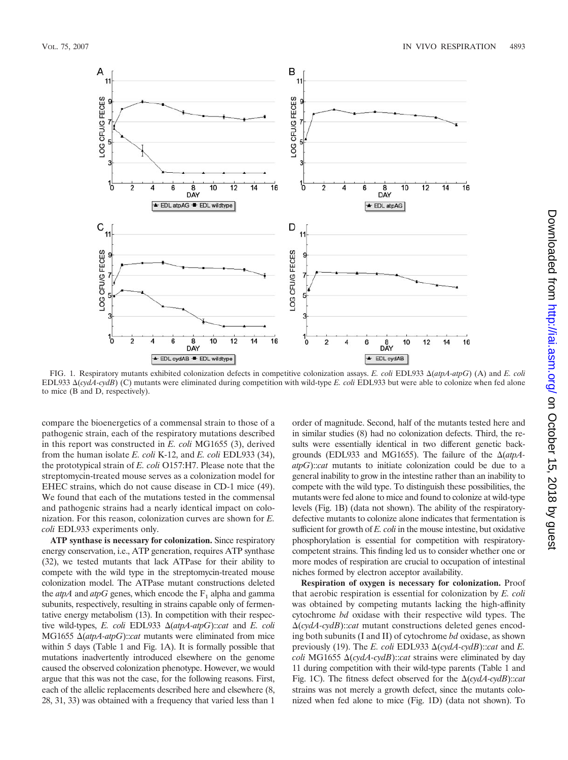

FIG. 1. Respiratory mutants exhibited colonization defects in competitive colonization assays. *E. coli* EDL933 (*atpA-atpG*) (A) and *E. coli* EDL933 (*cydA-cydB*) (C) mutants were eliminated during competition with wild-type *E. coli* EDL933 but were able to colonize when fed alone to mice (B and D, respectively).

compare the bioenergetics of a commensal strain to those of a pathogenic strain, each of the respiratory mutations described in this report was constructed in *E. coli* MG1655 (3), derived from the human isolate *E. coli* K-12, and *E. coli* EDL933 (34), the prototypical strain of *E. coli* O157:H7. Please note that the streptomycin-treated mouse serves as a colonization model for EHEC strains, which do not cause disease in CD-1 mice (49). We found that each of the mutations tested in the commensal and pathogenic strains had a nearly identical impact on colonization. For this reason, colonization curves are shown for *E. coli* EDL933 experiments only.

**ATP synthase is necessary for colonization.** Since respiratory energy conservation, i.e., ATP generation, requires ATP synthase (32), we tested mutants that lack ATPase for their ability to compete with the wild type in the streptomycin-treated mouse colonization model. The ATPase mutant constructions deleted the  $atpA$  and  $atpG$  genes, which encode the  $F_1$  alpha and gamma subunits, respectively, resulting in strains capable only of fermentative energy metabolism (13). In competition with their respective wild-types, *E. coli* EDL933 (*atpA-atpG*)::*cat* and *E. coli* MG1655  $\Delta$ (*atpA-atpG*)::*cat* mutants were eliminated from mice within 5 days (Table 1 and Fig. 1A). It is formally possible that mutations inadvertently introduced elsewhere on the genome caused the observed colonization phenotype. However, we would argue that this was not the case, for the following reasons. First, each of the allelic replacements described here and elsewhere (8, 28, 31, 33) was obtained with a frequency that varied less than 1

order of magnitude. Second, half of the mutants tested here and in similar studies (8) had no colonization defects. Third, the results were essentially identical in two different genetic backgrounds (EDL933 and MG1655). The failure of the  $\Delta$ (*atpAatpG*)::*cat* mutants to initiate colonization could be due to a general inability to grow in the intestine rather than an inability to compete with the wild type. To distinguish these possibilities, the mutants were fed alone to mice and found to colonize at wild-type levels (Fig. 1B) (data not shown). The ability of the respiratorydefective mutants to colonize alone indicates that fermentation is sufficient for growth of *E. coli* in the mouse intestine, but oxidative phosphorylation is essential for competition with respiratorycompetent strains. This finding led us to consider whether one or more modes of respiration are crucial to occupation of intestinal niches formed by electron acceptor availability.

**Respiration of oxygen is necessary for colonization.** Proof that aerobic respiration is essential for colonization by *E. coli* was obtained by competing mutants lacking the high-affinity cytochrome *bd* oxidase with their respective wild types. The (*cydA-cydB*)::*cat* mutant constructions deleted genes encoding both subunits (I and II) of cytochrome *bd* oxidase, as shown previously (19). The *E. coli* EDL933 (*cydA-cydB*)::*cat* and *E. coli* MG1655  $\Delta(cy dA-cy dB)$ ::*cat* strains were eliminated by day 11 during competition with their wild-type parents (Table 1 and Fig. 1C). The fitness defect observed for the (*cydA-cydB*)::*cat* strains was not merely a growth defect, since the mutants colonized when fed alone to mice (Fig. 1D) (data not shown). To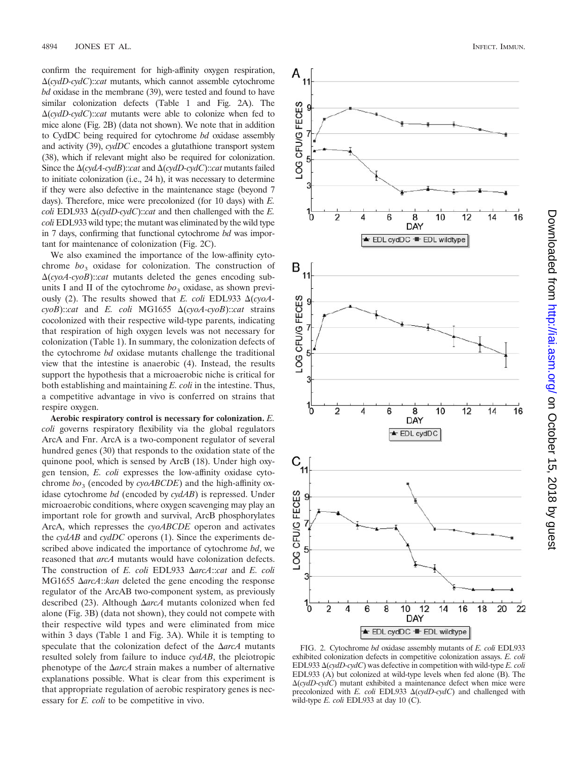confirm the requirement for high-affinity oxygen respiration, (*cydD-cydC*)::*cat* mutants, which cannot assemble cytochrome *bd* oxidase in the membrane (39), were tested and found to have similar colonization defects (Table 1 and Fig. 2A). The (*cydD-cydC*)::*cat* mutants were able to colonize when fed to mice alone (Fig. 2B) (data not shown). We note that in addition to CydDC being required for cytochrome *bd* oxidase assembly and activity (39), *cydDC* encodes a glutathione transport system (38), which if relevant might also be required for colonization. Since the  $\Delta$ (*cydA-cydB*)::*cat* and  $\Delta$ (*cydD-cydC*)::*cat* mutants failed to initiate colonization (i.e., 24 h), it was necessary to determine if they were also defective in the maintenance stage (beyond 7 days). Therefore, mice were precolonized (for 10 days) with *E. coli* EDL933  $\Delta(c \vee dD-c \vee dC)$ ::*cat* and then challenged with the *E*. *coli* EDL933 wild type; the mutant was eliminated by the wild type in 7 days, confirming that functional cytochrome *bd* was important for maintenance of colonization (Fig. 2C).

We also examined the importance of the low-affinity cytochrome  $b\sigma_3$  oxidase for colonization. The construction of (*cyoA-cyoB*)::*cat* mutants deleted the genes encoding subunits I and II of the cytochrome  $b\sigma_3$  oxidase, as shown previously (2). The results showed that *E. coli* EDL933  $\Delta$ (*cyoAcyoB*)::*cat* and *E. coli* MG1655 (*cyoA-cyoB*)::*cat* strains cocolonized with their respective wild-type parents, indicating that respiration of high oxygen levels was not necessary for colonization (Table 1). In summary, the colonization defects of the cytochrome *bd* oxidase mutants challenge the traditional view that the intestine is anaerobic (4). Instead, the results support the hypothesis that a microaerobic niche is critical for both establishing and maintaining *E. coli* in the intestine. Thus, a competitive advantage in vivo is conferred on strains that respire oxygen.

**Aerobic respiratory control is necessary for colonization.** *E. coli* governs respiratory flexibility via the global regulators ArcA and Fnr. ArcA is a two-component regulator of several hundred genes (30) that responds to the oxidation state of the quinone pool, which is sensed by ArcB (18). Under high oxygen tension, *E. coli* expresses the low-affinity oxidase cytochrome  $b\sigma_3$  (encoded by *cyoABCDE*) and the high-affinity oxidase cytochrome *bd* (encoded by *cydAB*) is repressed. Under microaerobic conditions, where oxygen scavenging may play an important role for growth and survival, ArcB phosphorylates ArcA, which represses the *cyoABCDE* operon and activates the *cydAB* and *cydDC* operons (1). Since the experiments described above indicated the importance of cytochrome *bd*, we reasoned that *arcA* mutants would have colonization defects. The construction of *E. coli* EDL933 *arcA*::*cat* and *E. coli* MG1655 *arcA*::*kan* deleted the gene encoding the response regulator of the ArcAB two-component system, as previously described (23). Although  $\Delta arcA$  mutants colonized when fed alone (Fig. 3B) (data not shown), they could not compete with their respective wild types and were eliminated from mice within 3 days (Table 1 and Fig. 3A). While it is tempting to speculate that the colonization defect of the  $\Delta arcA$  mutants resulted solely from failure to induce *cydAB*, the pleiotropic phenotype of the  $\Delta arcA$  strain makes a number of alternative explanations possible. What is clear from this experiment is that appropriate regulation of aerobic respiratory genes is necessary for *E. coli* to be competitive in vivo.



FIG. 2. Cytochrome *bd* oxidase assembly mutants of *E. coli* EDL933 exhibited colonization defects in competitive colonization assays. *E. coli* EDL933 (*cydD-cydC*) was defective in competition with wild-type *E. coli* EDL933 (A) but colonized at wild-type levels when fed alone (B). The  $\Delta(c \gamma dD-c \gamma dC)$  mutant exhibited a maintenance defect when mice were precolonized with *E. coli* EDL933  $\Delta(cydD-cydC)$  and challenged with wild-type *E. coli* EDL933 at day 10 (C).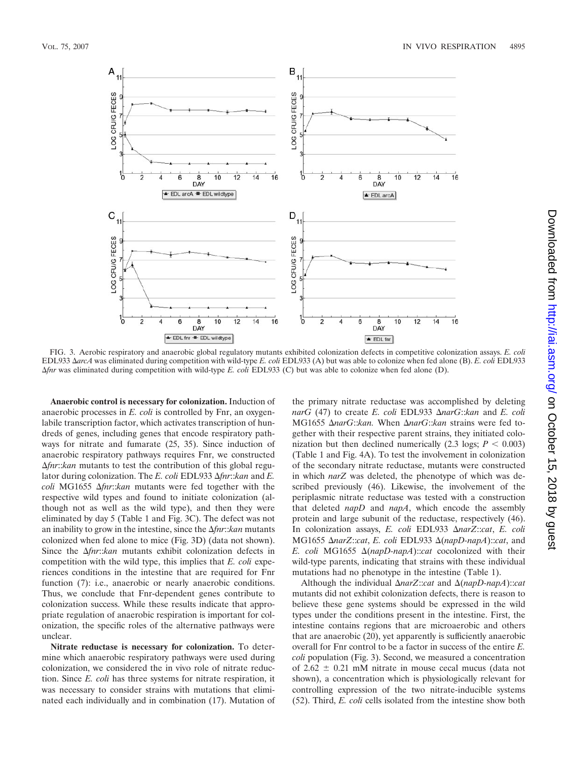

FIG. 3. Aerobic respiratory and anaerobic global regulatory mutants exhibited colonization defects in competitive colonization assays. *E. coli* EDL933 *arcA* was eliminated during competition with wild-type *E. coli* EDL933 (A) but was able to colonize when fed alone (B). *E. coli* EDL933 *fnr* was eliminated during competition with wild-type *E. coli* EDL933 (C) but was able to colonize when fed alone (D).

**Anaerobic control is necessary for colonization.** Induction of anaerobic processes in *E. coli* is controlled by Fnr, an oxygenlabile transcription factor, which activates transcription of hundreds of genes, including genes that encode respiratory pathways for nitrate and fumarate (25, 35). Since induction of anaerobic respiratory pathways requires Fnr, we constructed *fnr*::*kan* mutants to test the contribution of this global regulator during colonization. The *E. coli* EDL933 *fnr*::*kan* and *E. coli* MG1655 *fnr*::*kan* mutants were fed together with the respective wild types and found to initiate colonization (although not as well as the wild type), and then they were eliminated by day 5 (Table 1 and Fig. 3C). The defect was not an inability to grow in the intestine, since the  $\Delta fnr$ :*kan* mutants colonized when fed alone to mice (Fig. 3D) (data not shown). Since the *Afnr*::*kan* mutants exhibit colonization defects in competition with the wild type, this implies that *E. coli* experiences conditions in the intestine that are required for Fnr function (7): i.e., anaerobic or nearly anaerobic conditions. Thus, we conclude that Fnr-dependent genes contribute to colonization success. While these results indicate that appropriate regulation of anaerobic respiration is important for colonization, the specific roles of the alternative pathways were unclear.

**Nitrate reductase is necessary for colonization.** To determine which anaerobic respiratory pathways were used during colonization, we considered the in vivo role of nitrate reduction. Since *E. coli* has three systems for nitrate respiration, it was necessary to consider strains with mutations that eliminated each individually and in combination (17). Mutation of the primary nitrate reductase was accomplished by deleting *narG* (47) to create *E. coli* EDL933 *narG*::*kan* and *E. coli* MG1655 *narG*::*kan.* When *narG*::*kan* strains were fed together with their respective parent strains, they initiated colonization but then declined numerically  $(2.3 \text{ logs}; P < 0.003)$ (Table 1 and Fig. 4A). To test the involvement in colonization of the secondary nitrate reductase, mutants were constructed in which *narZ* was deleted, the phenotype of which was described previously (46). Likewise, the involvement of the periplasmic nitrate reductase was tested with a construction that deleted *napD* and *napA*, which encode the assembly protein and large subunit of the reductase, respectively (46). In colonization assays, *E. coli* EDL933 *narZ*::*cat*, *E. coli* MG1655 *narZ*::*cat*, *E. coli* EDL933 (*napD-napA*)::*cat*, and *E. coli* MG1655 Δ(*napD-napA*)::*cat* cocolonized with their wild-type parents, indicating that strains with these individual mutations had no phenotype in the intestine (Table 1).

Although the individual *narZ*::*cat* and (*napD-napA*)::*cat* mutants did not exhibit colonization defects, there is reason to believe these gene systems should be expressed in the wild types under the conditions present in the intestine. First, the intestine contains regions that are microaerobic and others that are anaerobic (20), yet apparently is sufficiently anaerobic overall for Fnr control to be a factor in success of the entire *E. coli* population (Fig. 3). Second, we measured a concentration of  $2.62 \pm 0.21$  mM nitrate in mouse cecal mucus (data not shown), a concentration which is physiologically relevant for controlling expression of the two nitrate-inducible systems (52). Third, *E. coli* cells isolated from the intestine show both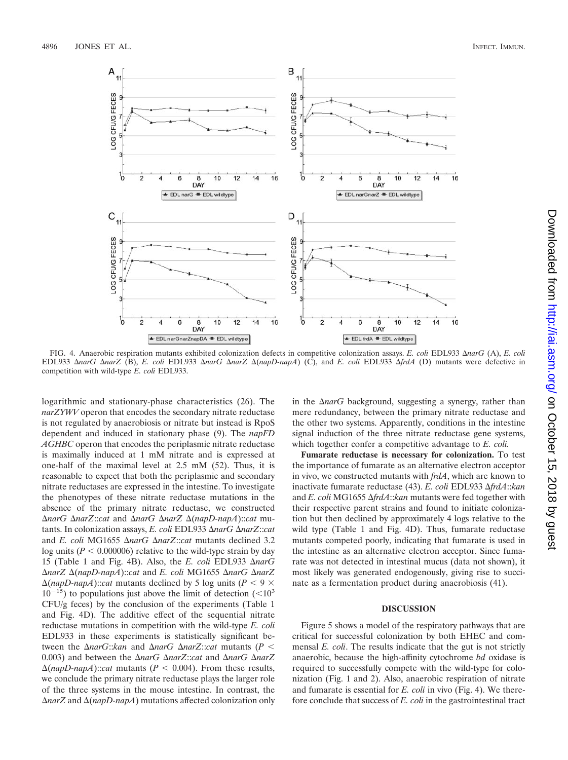

FIG. 4. Anaerobic respiration mutants exhibited colonization defects in competitive colonization assays. *E. coli* EDL933 *narG* (A), *E. coli* EDL933 *narG narZ* (B), *E. coli* EDL933 *narG narZ* (*napD-napA*) (C), and *E. coli* EDL933 *frdA* (D) mutants were defective in competition with wild-type *E. coli* EDL933.

logarithmic and stationary-phase characteristics (26). The *narZYWV* operon that encodes the secondary nitrate reductase is not regulated by anaerobiosis or nitrate but instead is RpoS dependent and induced in stationary phase (9). The *napFD AGHBC* operon that encodes the periplasmic nitrate reductase is maximally induced at 1 mM nitrate and is expressed at one-half of the maximal level at 2.5 mM (52). Thus, it is reasonable to expect that both the periplasmic and secondary nitrate reductases are expressed in the intestine. To investigate the phenotypes of these nitrate reductase mutations in the absence of the primary nitrate reductase, we constructed *narG narZ*::*cat* and *narG narZ* (*napD-napA*)::*cat* mutants. In colonization assays, *E. coli* EDL933 *narG narZ*::*cat* and *E. coli* MG1655 *narG narZ*::*cat* mutants declined 3.2 log units ( $P < 0.000006$ ) relative to the wild-type strain by day 15 (Table 1 and Fig. 4B). Also, the *E. coli* EDL933 *narG narZ* (*napD-napA*)::*cat* and *E. coli* MG1655 *narG narZ*  $\Delta$ (*napD-napA*)::*cat* mutants declined by 5 log units (*P* < 9  $\times$  $10^{-15}$ ) to populations just above the limit of detection (<10<sup>3</sup>) CFU/g feces) by the conclusion of the experiments (Table 1 and Fig. 4D). The additive effect of the sequential nitrate reductase mutations in competition with the wild-type *E. coli* EDL933 in these experiments is statistically significant between the  $\Delta$ *narG*::*kan* and  $\Delta$ *narG*  $\Delta$ *narZ*::*cat* mutants (*P* < 0.003) and between the *narG narZ*::*cat* and *narG narZ*  $\Delta$ (*napD-napA*)::*cat* mutants (*P* < 0.004). From these results, we conclude the primary nitrate reductase plays the larger role of the three systems in the mouse intestine. In contrast, the  $\Delta$ *narZ* and  $\Delta$ (*napD-napA*) mutations affected colonization only in the  $\Delta$ *narG* background, suggesting a synergy, rather than mere redundancy, between the primary nitrate reductase and the other two systems. Apparently, conditions in the intestine signal induction of the three nitrate reductase gene systems, which together confer a competitive advantage to *E. coli.*

**Fumarate reductase is necessary for colonization.** To test the importance of fumarate as an alternative electron acceptor in vivo, we constructed mutants with *frdA*, which are known to inactivate fumarate reductase (43). *E. coli* EDL933 *frdA*::*kan* and *E. coli* MG1655 *frdA*::*kan* mutants were fed together with their respective parent strains and found to initiate colonization but then declined by approximately 4 logs relative to the wild type (Table 1 and Fig. 4D). Thus, fumarate reductase mutants competed poorly, indicating that fumarate is used in the intestine as an alternative electron acceptor. Since fumarate was not detected in intestinal mucus (data not shown), it most likely was generated endogenously, giving rise to succinate as a fermentation product during anaerobiosis (41).

#### **DISCUSSION**

Figure 5 shows a model of the respiratory pathways that are critical for successful colonization by both EHEC and commensal *E. coli*. The results indicate that the gut is not strictly anaerobic, because the high-affinity cytochrome *bd* oxidase is required to successfully compete with the wild-type for colonization (Fig. 1 and 2). Also, anaerobic respiration of nitrate and fumarate is essential for *E. coli* in vivo (Fig. 4). We therefore conclude that success of *E. coli* in the gastrointestinal tract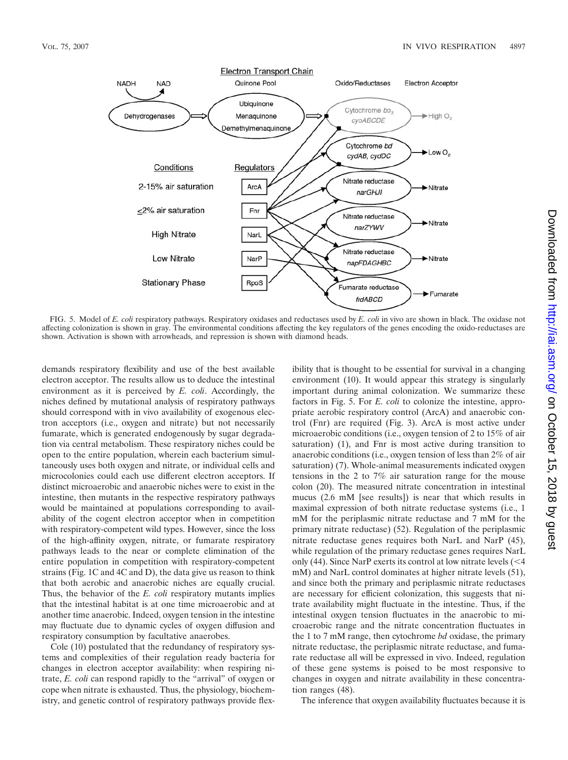

FIG. 5. Model of *E. coli* respiratory pathways. Respiratory oxidases and reductases used by *E. coli* in vivo are shown in black. The oxidase not affecting colonization is shown in gray. The environmental conditions affecting the key regulators of the genes encoding the oxido-reductases are shown. Activation is shown with arrowheads, and repression is shown with diamond heads.

demands respiratory flexibility and use of the best available electron acceptor. The results allow us to deduce the intestinal environment as it is perceived by *E. coli*. Accordingly, the niches defined by mutational analysis of respiratory pathways should correspond with in vivo availability of exogenous electron acceptors (i.e., oxygen and nitrate) but not necessarily fumarate, which is generated endogenously by sugar degradation via central metabolism. These respiratory niches could be open to the entire population, wherein each bacterium simultaneously uses both oxygen and nitrate, or individual cells and microcolonies could each use different electron acceptors. If distinct microaerobic and anaerobic niches were to exist in the intestine, then mutants in the respective respiratory pathways would be maintained at populations corresponding to availability of the cogent electron acceptor when in competition with respiratory-competent wild types. However, since the loss of the high-affinity oxygen, nitrate, or fumarate respiratory pathways leads to the near or complete elimination of the entire population in competition with respiratory-competent strains (Fig. 1C and 4C and D), the data give us reason to think that both aerobic and anaerobic niches are equally crucial. Thus, the behavior of the *E. coli* respiratory mutants implies that the intestinal habitat is at one time microaerobic and at another time anaerobic. Indeed, oxygen tension in the intestine may fluctuate due to dynamic cycles of oxygen diffusion and respiratory consumption by facultative anaerobes.

Cole (10) postulated that the redundancy of respiratory systems and complexities of their regulation ready bacteria for changes in electron acceptor availability: when respiring nitrate, *E. coli* can respond rapidly to the "arrival" of oxygen or cope when nitrate is exhausted. Thus, the physiology, biochemistry, and genetic control of respiratory pathways provide flexibility that is thought to be essential for survival in a changing environment (10). It would appear this strategy is singularly important during animal colonization. We summarize these factors in Fig. 5. For *E. coli* to colonize the intestine, appropriate aerobic respiratory control (ArcA) and anaerobic control (Fnr) are required (Fig. 3). ArcA is most active under microaerobic conditions (i.e., oxygen tension of 2 to 15% of air saturation) (1), and Fnr is most active during transition to anaerobic conditions (i.e., oxygen tension of less than 2% of air saturation) (7). Whole-animal measurements indicated oxygen tensions in the 2 to 7% air saturation range for the mouse colon (20). The measured nitrate concentration in intestinal mucus (2.6 mM [see results]) is near that which results in maximal expression of both nitrate reductase systems (i.e., 1 mM for the periplasmic nitrate reductase and 7 mM for the primary nitrate reductase) (52). Regulation of the periplasmic nitrate reductase genes requires both NarL and NarP (45), while regulation of the primary reductase genes requires NarL only (44). Since NarP exerts its control at low nitrate levels  $\leq 4$ mM) and NarL control dominates at higher nitrate levels (51), and since both the primary and periplasmic nitrate reductases are necessary for efficient colonization, this suggests that nitrate availability might fluctuate in the intestine. Thus, if the intestinal oxygen tension fluctuates in the anaerobic to microaerobic range and the nitrate concentration fluctuates in the 1 to 7 mM range, then cytochrome *bd* oxidase, the primary nitrate reductase, the periplasmic nitrate reductase, and fumarate reductase all will be expressed in vivo. Indeed, regulation of these gene systems is poised to be most responsive to changes in oxygen and nitrate availability in these concentration ranges (48).

The inference that oxygen availability fluctuates because it is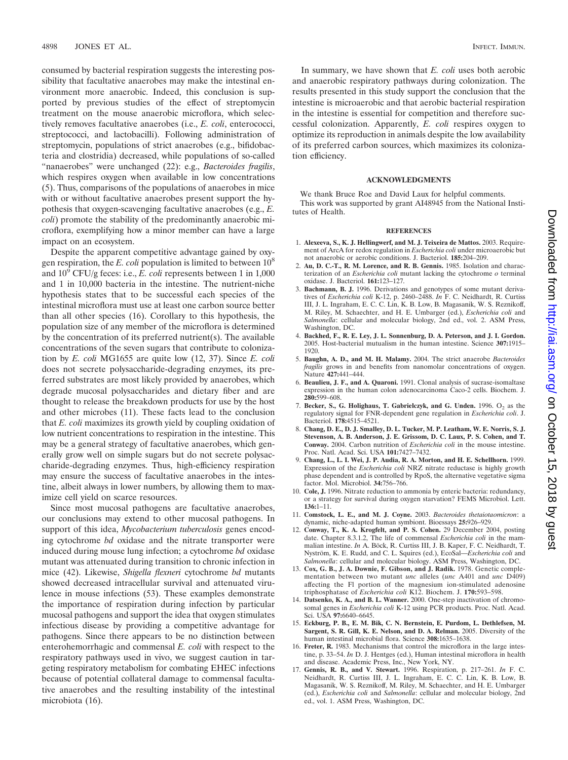consumed by bacterial respiration suggests the interesting possibility that facultative anaerobes may make the intestinal environment more anaerobic. Indeed, this conclusion is supported by previous studies of the effect of streptomycin treatment on the mouse anaerobic microflora, which selectively removes facultative anaerobes (i.e., *E. coli*, enterococci, streptococci, and lactobacilli). Following administration of streptomycin, populations of strict anaerobes (e.g., bifidobacteria and clostridia) decreased, while populations of so-called "nanaerobes" were unchanged (22): e.g., *Bacteroides fragilis*, which respires oxygen when available in low concentrations (5). Thus, comparisons of the populations of anaerobes in mice with or without facultative anaerobes present support the hypothesis that oxygen-scavenging facultative anaerobes (e.g., *E. coli*) promote the stability of the predominantly anaerobic microflora, exemplifying how a minor member can have a large impact on an ecosystem.

Despite the apparent competitive advantage gained by oxygen respiration, the *E. coli* population is limited to between 108 and 109 CFU/g feces: i.e., *E. coli* represents between 1 in 1,000 and 1 in 10,000 bacteria in the intestine. The nutrient-niche hypothesis states that to be successful each species of the intestinal microflora must use at least one carbon source better than all other species (16). Corollary to this hypothesis, the population size of any member of the microflora is determined by the concentration of its preferred nutrient(s). The available concentrations of the seven sugars that contribute to colonization by *E. coli* MG1655 are quite low (12, 37). Since *E. coli* does not secrete polysaccharide-degrading enzymes, its preferred substrates are most likely provided by anaerobes, which degrade mucosal polysaccharides and dietary fiber and are thought to release the breakdown products for use by the host and other microbes (11). These facts lead to the conclusion that *E. coli* maximizes its growth yield by coupling oxidation of low nutrient concentrations to respiration in the intestine. This may be a general strategy of facultative anaerobes, which generally grow well on simple sugars but do not secrete polysaccharide-degrading enzymes. Thus, high-efficiency respiration may ensure the success of facultative anaerobes in the intestine, albeit always in lower numbers, by allowing them to maximize cell yield on scarce resources.

Since most mucosal pathogens are facultative anaerobes, our conclusions may extend to other mucosal pathogens. In support of this idea, *Mycobacterium tuberculosis* genes encoding cytochrome *bd* oxidase and the nitrate transporter were induced during mouse lung infection; a cytochrome *bd* oxidase mutant was attenuated during transition to chronic infection in mice (42). Likewise, *Shigella flexneri* cytochrome *bd* mutants showed decreased intracellular survival and attenuated virulence in mouse infections (53). These examples demonstrate the importance of respiration during infection by particular mucosal pathogens and support the idea that oxygen stimulates infectious disease by providing a competitive advantage for pathogens. Since there appears to be no distinction between enterohemorrhagic and commensal *E. coli* with respect to the respiratory pathways used in vivo, we suggest caution in targeting respiratory metabolism for combating EHEC infections because of potential collateral damage to commensal facultative anaerobes and the resulting instability of the intestinal microbiota (16).

In summary, we have shown that *E. coli* uses both aerobic and anaerobic respiratory pathways during colonization. The results presented in this study support the conclusion that the intestine is microaerobic and that aerobic bacterial respiration in the intestine is essential for competition and therefore successful colonization. Apparently, *E. coli* respires oxygen to optimize its reproduction in animals despite the low availability of its preferred carbon sources, which maximizes its colonization efficiency.

#### **ACKNOWLEDGMENTS**

We thank Bruce Roe and David Laux for helpful comments. This work was supported by grant AI48945 from the National Institutes of Health.

#### **REFERENCES**

- 1. **Alexeeva, S., K. J. Hellingwerf, and M. J. Teixeira de Mattos.** 2003. Requirement of ArcA for redox regulation in *Escherichia coli* under microaerobic but not anaerobic or aerobic conditions. J. Bacteriol. **185:**204–209.
- 2. **Au, D. C.-T., R. M. Lorence, and R. B. Gennis.** 1985. Isolation and characterization of an *Escherichia coli* mutant lacking the cytochrome *o* terminal oxidase. J. Bacteriol. **161:**123–127.
- 3. **Bachmann, B. J.** 1996. Derivations and genotypes of some mutant derivatives of *Escherichia coli* K-12, p. 2460–2488. *In* F. C. Neidhardt, R. Curtiss III, J. L. Ingraham, E. C. C. Lin, K. B. Low, B. Magasanik, W. S. Reznikoff, M. Riley, M. Schaechter, and H. E. Umbarger (ed.), *Escherichia coli* and *Salmonella*: cellular and molecular biology, 2nd ed., vol. 2. ASM Press, Washington, DC.
- 4. **Backhed, F., R. E. Ley, J. L. Sonnenburg, D. A. Peterson, and J. I. Gordon.** 2005. Host-bacterial mutualism in the human intestine. Science **307:**1915– 1920.
- 5. **Baughn, A. D., and M. H. Malamy.** 2004. The strict anaerobe *Bacteroides fragilis* grows in and benefits from nanomolar concentrations of oxygen. Nature **427:**441–444.
- 6. **Beaulieu, J. F., and A. Quaroni.** 1991. Clonal analysis of sucrase-isomaltase expression in the human colon adenocarcinoma Caco-2 cells. Biochem. J. **280:**599–608.
- 7. **Becker, S., G. Holighaus, T. Gabrielczyk, and G. Unden.** 1996. O<sub>2</sub> as the regulatory signal for FNR-dependent gene regulation in *Escherichia coli*. J. Bacteriol. **178:**4515–4521.
- 8. **Chang, D. E., D. J. Smalley, D. L. Tucker, M. P. Leatham, W. E. Norris, S. J. Stevenson, A. B. Anderson, J. E. Grissom, D. C. Laux, P. S. Cohen, and T. Conway.** 2004. Carbon nutrition of *Escherichia coli* in the mouse intestine. Proc. Natl. Acad. Sci. USA **101:**7427–7432.
- 9. **Chang, L., L. I. Wei, J. P. Audia, R. A. Morton, and H. E. Schellhorn.** 1999. Expression of the *Escherichia coli* NRZ nitrate reductase is highly growth phase dependent and is controlled by RpoS, the alternative vegetative sigma factor. Mol. Microbiol. **34:**756–766.
- 10. **Cole, J.** 1996. Nitrate reduction to ammonia by enteric bacteria: redundancy, or a strategy for survival during oxygen starvation? FEMS Microbiol. Lett. **136:**1–11.
- 11. **Comstock, L. E., and M. J. Coyne.** 2003. *Bacteroides thetaiotaomicron*: a dynamic, niche-adapted human symbiont. Bioessays **25:**926–929.
- 12. **Conway, T., K. A. Krogfelt, and P. S. Cohen.** 29 December 2004, posting date. Chapter 8.3.1.2, The life of commensal *Escherichia coli* in the mammalian intestine. *In* A. Böck, R. Curtiss III, J. B. Kaper, F. C. Neidhardt, T. Nyström, K. E. Rudd, and C. L. Squires (ed.), EcoSal-Escherichia coli and *Salmonella*: cellular and molecular biology. ASM Press, Washington, DC.
- 13. **Cox, G. B., J. A. Downie, F. Gibson, and J. Radik.** 1978. Genetic complementation between two mutant *unc* alleles (*unc* A401 and *unc* D409) affecting the Fl portion of the magnesium ion-stimulated adenosine triphosphatase of *Escherichia coli* K12. Biochem. J. **170:**593–598.
- 14. **Datsenko, K. A., and B. L. Wanner.** 2000. One-step inactivation of chromosomal genes in *Escherichia coli* K-12 using PCR products. Proc. Natl. Acad. Sci. USA **97:**6640–6645.
- 15. **Eckburg, P. B., E. M. Bik, C. N. Bernstein, E. Purdom, L. Dethlefsen, M. Sargent, S. R. Gill, K. E. Nelson, and D. A. Relman.** 2005. Diversity of the human intestinal microbial flora. Science **308:**1635–1638.
- 16. **Freter, R.** 1983. Mechanisms that control the microflora in the large intestine, p. 33–54. *In* D. J. Hentges (ed.), Human intestinal microflora in health and disease. Academic Press, Inc., New York, NY.
- 17. **Gennis, R. B., and V. Stewart.** 1996. Respiration, p. 217–261. *In* F. C. Neidhardt, R. Curtiss III, J. L. Ingraham, E. C. C. Lin, K. B. Low, B. Magasanik, W. S. Reznikoff, M. Riley, M. Schaechter, and H. E. Umbarger (ed.), *Escherichia coli* and *Salmonella*: cellular and molecular biology, 2nd ed., vol. 1. ASM Press, Washington, DC.